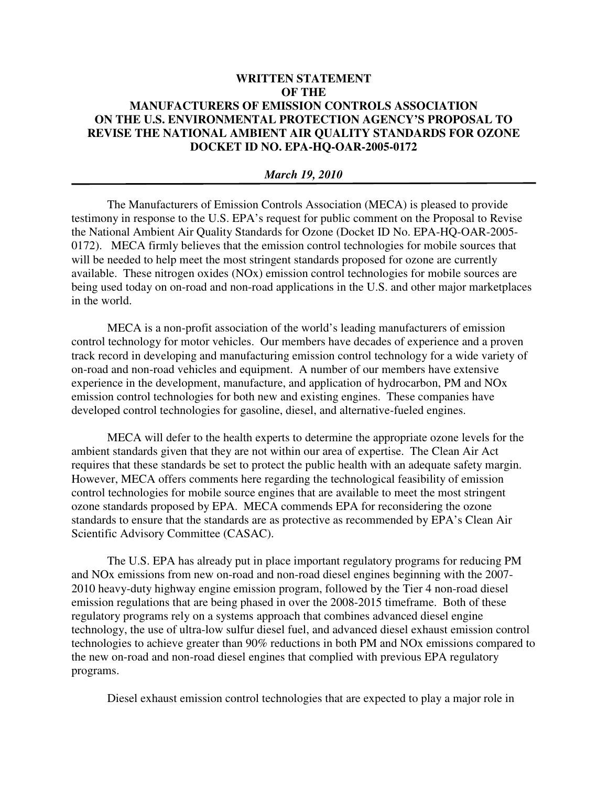## **WRITTEN STATEMENT OF THE MANUFACTURERS OF EMISSION CONTROLS ASSOCIATION ON THE U.S. ENVIRONMENTAL PROTECTION AGENCY'S PROPOSAL TO REVISE THE NATIONAL AMBIENT AIR QUALITY STANDARDS FOR OZONE DOCKET ID NO. EPA-HQ-OAR-2005-0172**

## *March 19, 2010*

The Manufacturers of Emission Controls Association (MECA) is pleased to provide testimony in response to the U.S. EPA's request for public comment on the Proposal to Revise the National Ambient Air Quality Standards for Ozone (Docket ID No. EPA-HQ-OAR-2005- 0172). MECA firmly believes that the emission control technologies for mobile sources that will be needed to help meet the most stringent standards proposed for ozone are currently available. These nitrogen oxides (NOx) emission control technologies for mobile sources are being used today on on-road and non-road applications in the U.S. and other major marketplaces in the world.

MECA is a non-profit association of the world's leading manufacturers of emission control technology for motor vehicles. Our members have decades of experience and a proven track record in developing and manufacturing emission control technology for a wide variety of on-road and non-road vehicles and equipment. A number of our members have extensive experience in the development, manufacture, and application of hydrocarbon, PM and NOx emission control technologies for both new and existing engines. These companies have developed control technologies for gasoline, diesel, and alternative-fueled engines.

MECA will defer to the health experts to determine the appropriate ozone levels for the ambient standards given that they are not within our area of expertise. The Clean Air Act requires that these standards be set to protect the public health with an adequate safety margin. However, MECA offers comments here regarding the technological feasibility of emission control technologies for mobile source engines that are available to meet the most stringent ozone standards proposed by EPA. MECA commends EPA for reconsidering the ozone standards to ensure that the standards are as protective as recommended by EPA's Clean Air Scientific Advisory Committee (CASAC).

The U.S. EPA has already put in place important regulatory programs for reducing PM and NOx emissions from new on-road and non-road diesel engines beginning with the 2007- 2010 heavy-duty highway engine emission program, followed by the Tier 4 non-road diesel emission regulations that are being phased in over the 2008-2015 timeframe. Both of these regulatory programs rely on a systems approach that combines advanced diesel engine technology, the use of ultra-low sulfur diesel fuel, and advanced diesel exhaust emission control technologies to achieve greater than 90% reductions in both PM and NOx emissions compared to the new on-road and non-road diesel engines that complied with previous EPA regulatory programs.

Diesel exhaust emission control technologies that are expected to play a major role in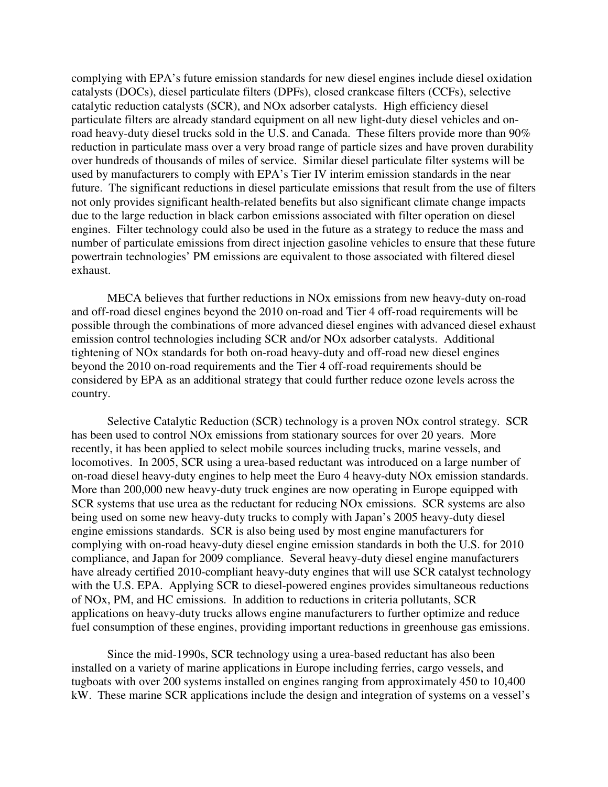complying with EPA's future emission standards for new diesel engines include diesel oxidation catalysts (DOCs), diesel particulate filters (DPFs), closed crankcase filters (CCFs), selective catalytic reduction catalysts (SCR), and NOx adsorber catalysts. High efficiency diesel particulate filters are already standard equipment on all new light-duty diesel vehicles and onroad heavy-duty diesel trucks sold in the U.S. and Canada. These filters provide more than 90% reduction in particulate mass over a very broad range of particle sizes and have proven durability over hundreds of thousands of miles of service. Similar diesel particulate filter systems will be used by manufacturers to comply with EPA's Tier IV interim emission standards in the near future. The significant reductions in diesel particulate emissions that result from the use of filters not only provides significant health-related benefits but also significant climate change impacts due to the large reduction in black carbon emissions associated with filter operation on diesel engines. Filter technology could also be used in the future as a strategy to reduce the mass and number of particulate emissions from direct injection gasoline vehicles to ensure that these future powertrain technologies' PM emissions are equivalent to those associated with filtered diesel exhaust.

MECA believes that further reductions in NOx emissions from new heavy-duty on-road and off-road diesel engines beyond the 2010 on-road and Tier 4 off-road requirements will be possible through the combinations of more advanced diesel engines with advanced diesel exhaust emission control technologies including SCR and/or NOx adsorber catalysts. Additional tightening of NOx standards for both on-road heavy-duty and off-road new diesel engines beyond the 2010 on-road requirements and the Tier 4 off-road requirements should be considered by EPA as an additional strategy that could further reduce ozone levels across the country.

Selective Catalytic Reduction (SCR) technology is a proven NOx control strategy. SCR has been used to control NOx emissions from stationary sources for over 20 years. More recently, it has been applied to select mobile sources including trucks, marine vessels, and locomotives. In 2005, SCR using a urea-based reductant was introduced on a large number of on-road diesel heavy-duty engines to help meet the Euro 4 heavy-duty NOx emission standards. More than 200,000 new heavy-duty truck engines are now operating in Europe equipped with SCR systems that use urea as the reductant for reducing NOx emissions. SCR systems are also being used on some new heavy-duty trucks to comply with Japan's 2005 heavy-duty diesel engine emissions standards. SCR is also being used by most engine manufacturers for complying with on-road heavy-duty diesel engine emission standards in both the U.S. for 2010 compliance, and Japan for 2009 compliance. Several heavy-duty diesel engine manufacturers have already certified 2010-compliant heavy-duty engines that will use SCR catalyst technology with the U.S. EPA. Applying SCR to diesel-powered engines provides simultaneous reductions of NOx, PM, and HC emissions. In addition to reductions in criteria pollutants, SCR applications on heavy-duty trucks allows engine manufacturers to further optimize and reduce fuel consumption of these engines, providing important reductions in greenhouse gas emissions.

Since the mid-1990s, SCR technology using a urea-based reductant has also been installed on a variety of marine applications in Europe including ferries, cargo vessels, and tugboats with over 200 systems installed on engines ranging from approximately 450 to 10,400 kW. These marine SCR applications include the design and integration of systems on a vessel's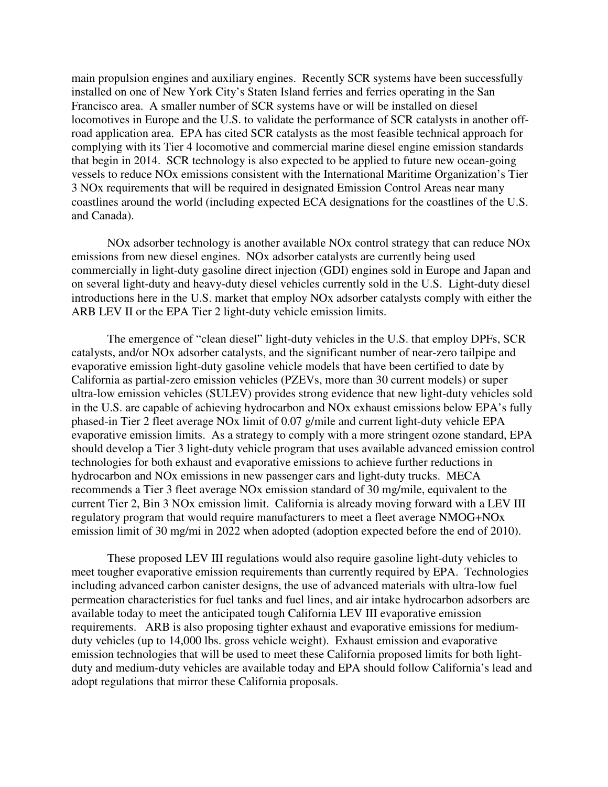main propulsion engines and auxiliary engines. Recently SCR systems have been successfully installed on one of New York City's Staten Island ferries and ferries operating in the San Francisco area. A smaller number of SCR systems have or will be installed on diesel locomotives in Europe and the U.S. to validate the performance of SCR catalysts in another offroad application area. EPA has cited SCR catalysts as the most feasible technical approach for complying with its Tier 4 locomotive and commercial marine diesel engine emission standards that begin in 2014. SCR technology is also expected to be applied to future new ocean-going vessels to reduce NOx emissions consistent with the International Maritime Organization's Tier 3 NOx requirements that will be required in designated Emission Control Areas near many coastlines around the world (including expected ECA designations for the coastlines of the U.S. and Canada).

NOx adsorber technology is another available NOx control strategy that can reduce NOx emissions from new diesel engines. NOx adsorber catalysts are currently being used commercially in light-duty gasoline direct injection (GDI) engines sold in Europe and Japan and on several light-duty and heavy-duty diesel vehicles currently sold in the U.S. Light-duty diesel introductions here in the U.S. market that employ NOx adsorber catalysts comply with either the ARB LEV II or the EPA Tier 2 light-duty vehicle emission limits.

The emergence of "clean diesel" light-duty vehicles in the U.S. that employ DPFs, SCR catalysts, and/or NOx adsorber catalysts, and the significant number of near-zero tailpipe and evaporative emission light-duty gasoline vehicle models that have been certified to date by California as partial-zero emission vehicles (PZEVs, more than 30 current models) or super ultra-low emission vehicles (SULEV) provides strong evidence that new light-duty vehicles sold in the U.S. are capable of achieving hydrocarbon and NOx exhaust emissions below EPA's fully phased-in Tier 2 fleet average NOx limit of 0.07 g/mile and current light-duty vehicle EPA evaporative emission limits. As a strategy to comply with a more stringent ozone standard, EPA should develop a Tier 3 light-duty vehicle program that uses available advanced emission control technologies for both exhaust and evaporative emissions to achieve further reductions in hydrocarbon and NOx emissions in new passenger cars and light-duty trucks. MECA recommends a Tier 3 fleet average NOx emission standard of 30 mg/mile, equivalent to the current Tier 2, Bin 3 NOx emission limit. California is already moving forward with a LEV III regulatory program that would require manufacturers to meet a fleet average NMOG+NOx emission limit of 30 mg/mi in 2022 when adopted (adoption expected before the end of 2010).

These proposed LEV III regulations would also require gasoline light-duty vehicles to meet tougher evaporative emission requirements than currently required by EPA. Technologies including advanced carbon canister designs, the use of advanced materials with ultra-low fuel permeation characteristics for fuel tanks and fuel lines, and air intake hydrocarbon adsorbers are available today to meet the anticipated tough California LEV III evaporative emission requirements. ARB is also proposing tighter exhaust and evaporative emissions for mediumduty vehicles (up to 14,000 lbs. gross vehicle weight). Exhaust emission and evaporative emission technologies that will be used to meet these California proposed limits for both lightduty and medium-duty vehicles are available today and EPA should follow California's lead and adopt regulations that mirror these California proposals.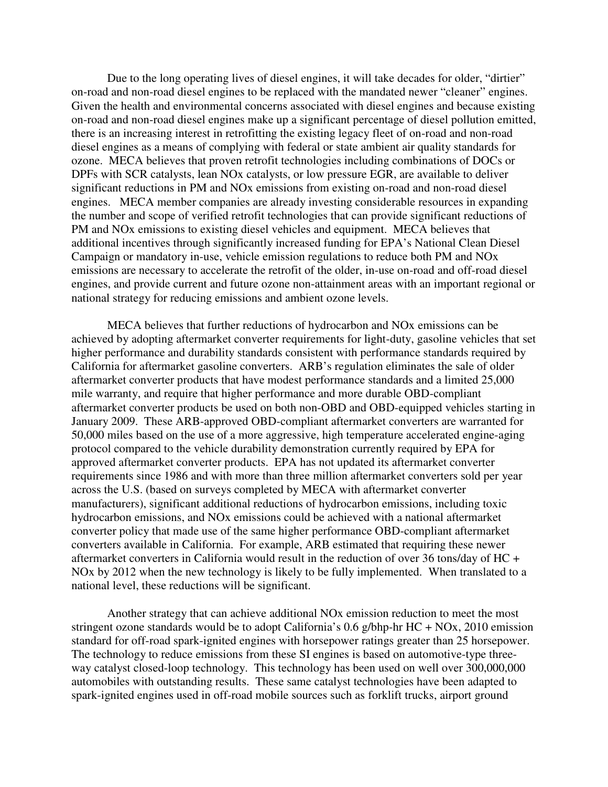Due to the long operating lives of diesel engines, it will take decades for older, "dirtier" on-road and non-road diesel engines to be replaced with the mandated newer "cleaner" engines. Given the health and environmental concerns associated with diesel engines and because existing on-road and non-road diesel engines make up a significant percentage of diesel pollution emitted, there is an increasing interest in retrofitting the existing legacy fleet of on-road and non-road diesel engines as a means of complying with federal or state ambient air quality standards for ozone. MECA believes that proven retrofit technologies including combinations of DOCs or DPFs with SCR catalysts, lean NOx catalysts, or low pressure EGR, are available to deliver significant reductions in PM and NOx emissions from existing on-road and non-road diesel engines. MECA member companies are already investing considerable resources in expanding the number and scope of verified retrofit technologies that can provide significant reductions of PM and NOx emissions to existing diesel vehicles and equipment. MECA believes that additional incentives through significantly increased funding for EPA's National Clean Diesel Campaign or mandatory in-use, vehicle emission regulations to reduce both PM and NOx emissions are necessary to accelerate the retrofit of the older, in-use on-road and off-road diesel engines, and provide current and future ozone non-attainment areas with an important regional or national strategy for reducing emissions and ambient ozone levels.

MECA believes that further reductions of hydrocarbon and NOx emissions can be achieved by adopting aftermarket converter requirements for light-duty, gasoline vehicles that set higher performance and durability standards consistent with performance standards required by California for aftermarket gasoline converters. ARB's regulation eliminates the sale of older aftermarket converter products that have modest performance standards and a limited 25,000 mile warranty, and require that higher performance and more durable OBD-compliant aftermarket converter products be used on both non-OBD and OBD-equipped vehicles starting in January 2009. These ARB-approved OBD-compliant aftermarket converters are warranted for 50,000 miles based on the use of a more aggressive, high temperature accelerated engine-aging protocol compared to the vehicle durability demonstration currently required by EPA for approved aftermarket converter products. EPA has not updated its aftermarket converter requirements since 1986 and with more than three million aftermarket converters sold per year across the U.S. (based on surveys completed by MECA with aftermarket converter manufacturers), significant additional reductions of hydrocarbon emissions, including toxic hydrocarbon emissions, and NOx emissions could be achieved with a national aftermarket converter policy that made use of the same higher performance OBD-compliant aftermarket converters available in California. For example, ARB estimated that requiring these newer aftermarket converters in California would result in the reduction of over 36 tons/day of HC + NOx by 2012 when the new technology is likely to be fully implemented. When translated to a national level, these reductions will be significant.

Another strategy that can achieve additional NOx emission reduction to meet the most stringent ozone standards would be to adopt California's 0.6 g/bhp-hr HC + NOx, 2010 emission standard for off-road spark-ignited engines with horsepower ratings greater than 25 horsepower. The technology to reduce emissions from these SI engines is based on automotive-type threeway catalyst closed-loop technology. This technology has been used on well over 300,000,000 automobiles with outstanding results. These same catalyst technologies have been adapted to spark-ignited engines used in off-road mobile sources such as forklift trucks, airport ground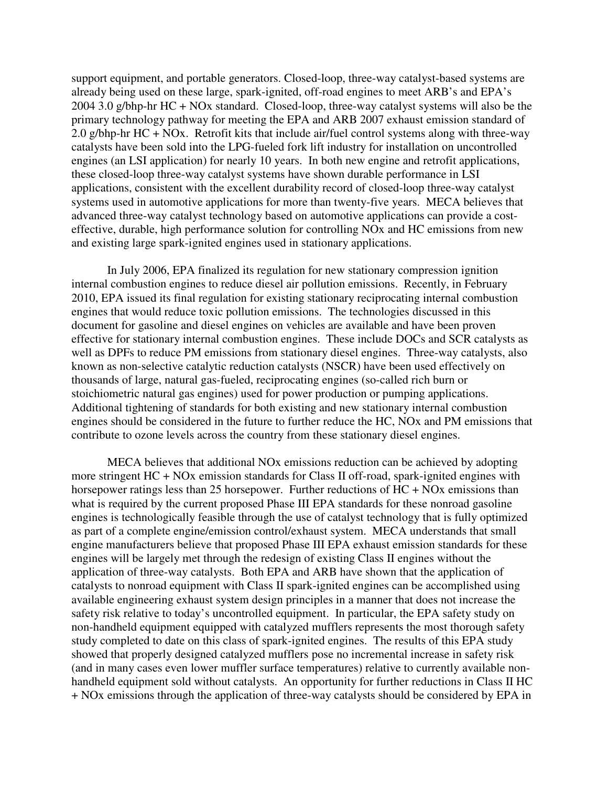support equipment, and portable generators. Closed-loop, three-way catalyst-based systems are already being used on these large, spark-ignited, off-road engines to meet ARB's and EPA's 2004 3.0 g/bhp-hr HC + NOx standard. Closed-loop, three-way catalyst systems will also be the primary technology pathway for meeting the EPA and ARB 2007 exhaust emission standard of 2.0 g/bhp-hr HC + NOx. Retrofit kits that include air/fuel control systems along with three-way catalysts have been sold into the LPG-fueled fork lift industry for installation on uncontrolled engines (an LSI application) for nearly 10 years. In both new engine and retrofit applications, these closed-loop three-way catalyst systems have shown durable performance in LSI applications, consistent with the excellent durability record of closed-loop three-way catalyst systems used in automotive applications for more than twenty-five years. MECA believes that advanced three-way catalyst technology based on automotive applications can provide a costeffective, durable, high performance solution for controlling NOx and HC emissions from new and existing large spark-ignited engines used in stationary applications.

In July 2006, EPA finalized its regulation for new stationary compression ignition internal combustion engines to reduce diesel air pollution emissions. Recently, in February 2010, EPA issued its final regulation for existing stationary reciprocating internal combustion engines that would reduce toxic pollution emissions. The technologies discussed in this document for gasoline and diesel engines on vehicles are available and have been proven effective for stationary internal combustion engines. These include DOCs and SCR catalysts as well as DPFs to reduce PM emissions from stationary diesel engines. Three-way catalysts, also known as non-selective catalytic reduction catalysts (NSCR) have been used effectively on thousands of large, natural gas-fueled, reciprocating engines (so-called rich burn or stoichiometric natural gas engines) used for power production or pumping applications. Additional tightening of standards for both existing and new stationary internal combustion engines should be considered in the future to further reduce the HC, NOx and PM emissions that contribute to ozone levels across the country from these stationary diesel engines.

MECA believes that additional NOx emissions reduction can be achieved by adopting more stringent HC + NOx emission standards for Class II off-road, spark-ignited engines with horsepower ratings less than 25 horsepower. Further reductions of HC + NOx emissions than what is required by the current proposed Phase III EPA standards for these nonroad gasoline engines is technologically feasible through the use of catalyst technology that is fully optimized as part of a complete engine/emission control/exhaust system. MECA understands that small engine manufacturers believe that proposed Phase III EPA exhaust emission standards for these engines will be largely met through the redesign of existing Class II engines without the application of three-way catalysts. Both EPA and ARB have shown that the application of catalysts to nonroad equipment with Class II spark-ignited engines can be accomplished using available engineering exhaust system design principles in a manner that does not increase the safety risk relative to today's uncontrolled equipment. In particular, the EPA safety study on non-handheld equipment equipped with catalyzed mufflers represents the most thorough safety study completed to date on this class of spark-ignited engines. The results of this EPA study showed that properly designed catalyzed mufflers pose no incremental increase in safety risk (and in many cases even lower muffler surface temperatures) relative to currently available nonhandheld equipment sold without catalysts. An opportunity for further reductions in Class II HC + NOx emissions through the application of three-way catalysts should be considered by EPA in